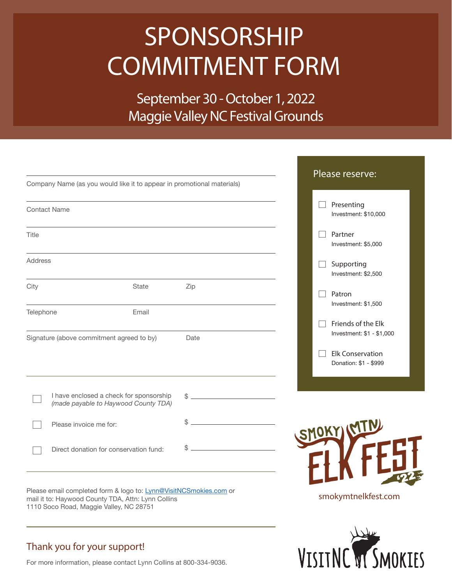# SPONSORSHIP COMMITMENT FORM

September 30 - October 1, 2022 Maggie Valley NC Festival Grounds

| Company Name (as you would like it to appear in promotional materials)                                                 |              |              | Please reserve:                                  |
|------------------------------------------------------------------------------------------------------------------------|--------------|--------------|--------------------------------------------------|
| <b>Contact Name</b>                                                                                                    |              |              | Presenting<br>Investment: \$10,000               |
| Title                                                                                                                  |              |              | Partner<br>Investment: \$5,000                   |
| <b>Address</b>                                                                                                         |              |              | Supporting<br>Investment: \$2,500                |
| City                                                                                                                   | <b>State</b> | Zip          | Patron<br>Investment: \$1,500                    |
| Telephone<br>Signature (above commitment agreed to by)                                                                 | Email        | Date         | Friends of the Elk<br>Investment: \$1 - \$1,000  |
|                                                                                                                        |              |              | <b>Elk Conservation</b><br>Donation: \$1 - \$999 |
| I have enclosed a check for sponsorship<br>(made payable to Haywood County TDA)                                        |              | $\mathbb{S}$ |                                                  |
| Please invoice me for:                                                                                                 |              |              | SMOKY (MTN)                                      |
| Direct donation for conservation fund:                                                                                 |              |              |                                                  |
| Please email completed form & logo to: Lynn@VisitNCSmokies.com or<br>mail it to: Haywood County TDA Attn: Lynn Collins |              |              | smokymtnelkfest.com                              |

VISITNC VI SMOKIES

Please email completed form & logo to: <u>Lynn@VisitNCSmokies.com</u> or mail it to: Haywood County TDA, Attn: Lynn Collins 1110 Soco Road, Maggie Valley, NC 28751

### Thank you for your support!

For more information, please contact Lynn Collins at 800-334-9036.